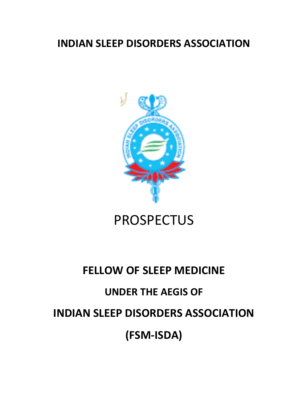## **INDIAN SLEEP DISORDERS ASSOCIATION**



# PROSPECTUS

# **FELLOW OF SLEEP MEDICINE**

## **UNDER THE AEGIS OF**

# **(FSM-ISDA)**

# **INDIAN SLEEP DISORDERS ASSOCIATION**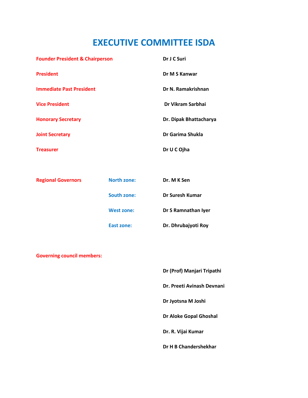## **EXECUTIVE COMMITTEE ISDA**

| <b>Founder President &amp; Chairperson</b> | Dr J C Suri            |
|--------------------------------------------|------------------------|
| <b>President</b>                           | Dr M S Kanwar          |
| <b>Immediate Past President</b>            | Dr N. Ramakrishnan     |
| <b>Vice President</b>                      | Dr Vikram Sarbhai      |
| <b>Honorary Secretary</b>                  | Dr. Dipak Bhattacharya |
| <b>Joint Secretary</b>                     | Dr Garima Shukla       |
| <b>Treasurer</b>                           | Dr U C Ojha            |

| <b>Regional Governors</b> | <b>North zone:</b> | Dr. M K Sen         |
|---------------------------|--------------------|---------------------|
|                           | <b>South zone:</b> | Dr Suresh Kumar     |
|                           | <b>West zone:</b>  | Dr S Ramnathan Iyer |
|                           | East zone:         | Dr. Dhrubajyoti Roy |

**Governing council members:**

**Dr (Prof) Manjari Tripathi**

**Dr. Preeti Avinash Devnani**

**Dr Jyotsna M Joshi**

**Dr Aloke Gopal Ghoshal**

**Dr. R. Vijai Kumar**

**Dr H B Chandershekhar**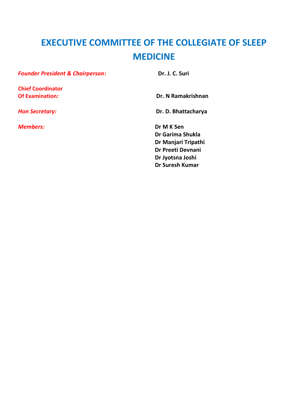# **EXECUTIVE COMMITTEE OF THE COLLEGIATE OF SLEEP MEDICINE**

 **Dr Suresh Kumar**

| <b>Founder President &amp; Chairperson:</b> | Dr. J. C. Suri      |
|---------------------------------------------|---------------------|
| <b>Chief Coordinator</b>                    |                     |
| <b>Of Examination:</b>                      | Dr. N Ramakrishnan  |
| <b>Hon Secretary:</b>                       | Dr. D. Bhattacharya |
| <b>Members:</b>                             | Dr M K Sen          |
|                                             | Dr Garima Shukla    |
|                                             | Dr Manjari Tripathi |
|                                             | Dr Preeti Devnani   |
|                                             | Dr Jyotsna Joshi    |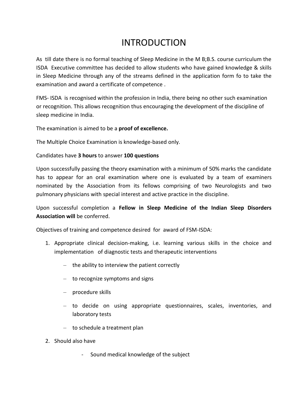## INTRODUCTION

As till date there is no formal teaching of Sleep Medicine in the M B;B.S. course curriculum the ISDA Executive committee has decided to allow students who have gained knowledge & skills in Sleep Medicine through any of the streams defined in the application form fo to take the examination and award a certificate of competence .

FMS- ISDA is recognised within the profession in India, there being no other such examination or recognition. This allows recognition thus encouraging the development of the discipline of sleep medicine in India.

The examination is aimed to be a **proof of excellence.**

The Multiple Choice Examination is knowledge-based only.

#### Candidates have **3 hours** to answer **100 questions**

Upon successfully passing the theory examination with a minimum of 50% marks the candidate has to appear for an oral examination where one is evaluated by a team of examiners nominated by the Association from its fellows comprising of two Neurologists and two pulmonary physicians with special interest and active practice in the discipline.

Upon successful completion a **Fellow in Sleep Medicine of the Indian Sleep Disorders Association will** be conferred.

Objectives of training and competence desired for award of FSM-ISDA:

- 1. Appropriate clinical decision-making, i.e. learning various skills in the choice and implementation of diagnostic tests and therapeutic interventions
	- the ability to interview the patient correctly
	- to recognize symptoms and signs
	- procedure skills
	- to decide on using appropriate questionnaires, scales, inventories, and laboratory tests
	- to schedule a treatment plan
- 2. Should also have
	- Sound medical knowledge of the subject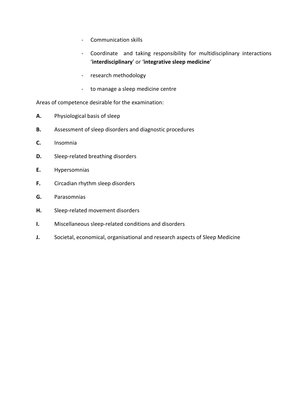- Communication skills
- Coordinate and taking responsibility for multidisciplinary interactions '**interdisciplinary**' or '**integrative sleep medicine**'
- research methodology
- to manage a sleep medicine centre

Areas of competence desirable for the examination:

- **A.** Physiological basis of sleep
- **B.** Assessment of sleep disorders and diagnostic procedures
- **C.** Insomnia
- **D.** Sleep-related breathing disorders
- **E.** Hypersomnias
- **F.** Circadian rhythm sleep disorders
- **G.** Parasomnias
- **H.** Sleep-related movement disorders
- **I.** Miscellaneous sleep-related conditions and disorders
- **J.** Societal, economical, organisational and research aspects of Sleep Medicine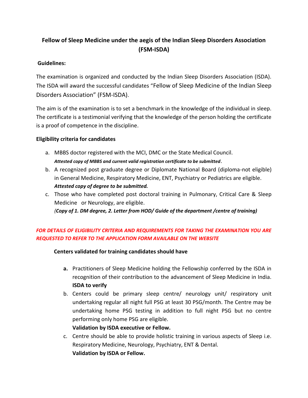### **Fellow of Sleep Medicine under the aegis of the Indian Sleep Disorders Association (FSM-ISDA)**

#### **Guidelines:**

The examination is organized and conducted by the Indian Sleep Disorders Association (ISDA). The ISDA will award the successful candidates "Fellow of Sleep Medicine of the Indian Sleep Disorders Association" (FSM-ISDA).

The aim is of the examination is to set a benchmark in the knowledge of the individual in sleep. The certificate is a testimonial verifying that the knowledge of the person holding the certificate is a proof of competence in the discipline.

#### **Eligibility criteria for candidates**

- a. MBBS doctor registered with the MCI, DMC or the State Medical Council. *Attested copy of MBBS and current valid registration certificate to be submitted*.
- b. A recognized post graduate degree or Diplomate National Board (diploma-not eligible) in General Medicine, Respiratory Medicine, ENT, Psychiatry or Pediatrics are eligible.  *Attested copy of degree to be submitted.*
- c. Those who have completed post doctoral training in Pulmonary, Critical Care & Sleep Medicine or Neurology, are eligible.

*(Copy of 1. DM degree, 2. Letter from HOD/ Guide of the department /centre of training)*

### *FOR DETAILS OF ELIGIBILITY CRITERIA AND REQUIREMENTS FOR TAKING THE EXAMINATION YOU ARE REQUESTED TO REFER TO THE APPLICATION FORM AVAILABLE ON THE WEBSITE*

### **Centers validated for training candidates should have**

- **a.** Practitioners of Sleep Medicine holding the Fellowship conferred by the ISDA in recognition of their contribution to the advancement of Sleep Medicine in India. **ISDA to verify**
- b. Centers could be primary sleep centre/ neurology unit/ respiratory unit undertaking regular all night full PSG at least 30 PSG/month. The Centre may be undertaking home PSG testing in addition to full night PSG but no centre performing only home PSG are eligible.

### **Validation by ISDA executive or Fellow.**

c. Centre should be able to provide holistic training in various aspects of Sleep i.e. Respiratory Medicine, Neurology, Psychiatry, ENT & Dental. **Validation by ISDA or Fellow.**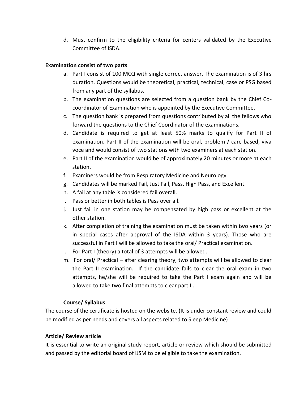d. Must confirm to the eligibility criteria for centers validated by the Executive Committee of ISDA.

#### **Examination consist of two parts**

- a. Part I consist of 100 MCQ with single correct answer. The examination is of 3 hrs duration. Questions would be theoretical, practical, technical, case or PSG based from any part of the syllabus.
- b. The examination questions are selected from a question bank by the Chief Cocoordinator of Examination who is appointed by the Executive Committee.
- c. The question bank is prepared from questions contributed by all the fellows who forward the questions to the Chief Coordinator of the examinations.
- d. Candidate is required to get at least 50% marks to qualify for Part II of examination. Part II of the examination will be oral, problem / care based, viva voce and would consist of two stations with two examiners at each station.
- e. Part II of the examination would be of approximately 20 minutes or more at each station.
- f. Examiners would be from Respiratory Medicine and Neurology
- g. Candidates will be marked Fail, Just Fail, Pass, High Pass, and Excellent.
- h. A fail at any table is considered fail overall.
- i. Pass or better in both tables is Pass over all.
- j. Just fail in one station may be compensated by high pass or excellent at the other station.
- k. After completion of training the examination must be taken within two years (or in special cases after approval of the ISDA within 3 years). Those who are successful in Part I will be allowed to take the oral/ Practical examination.
- l. For Part I (theory) a total of 3 attempts will be allowed.
- m. For oral/ Practical after clearing theory, two attempts will be allowed to clear the Part II examination. If the candidate fails to clear the oral exam in two attempts, he/she will be required to take the Part I exam again and will be allowed to take two final attempts to clear part II.

#### **Course/ Syllabus**

The course of the certificate is hosted on the website. (It is under constant review and could be modified as per needs and covers all aspects related to Sleep Medicine)

#### **Article/ Review article**

It is essential to write an original study report, article or review which should be submitted and passed by the editorial board of IJSM to be eligible to take the examination.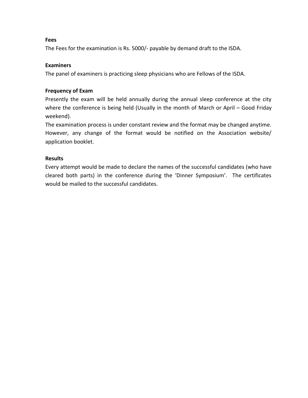#### **Fees**

The Fees for the examination is Rs. 5000/- payable by demand draft to the ISDA.

#### **Examiners**

The panel of examiners is practicing sleep physicians who are Fellows of the ISDA.

#### **Frequency of Exam**

Presently the exam will be held annually during the annual sleep conference at the city where the conference is being held (Usually in the month of March or April - Good Friday weekend).

The examination process is under constant review and the format may be changed anytime. However, any change of the format would be notified on the Association website/ application booklet.

#### **Results**

Every attempt would be made to declare the names of the successful candidates (who have cleared both parts) in the conference during the 'Dinner Symposium'. The certificates would be mailed to the successful candidates.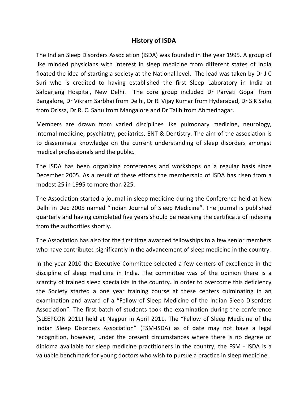### **History of ISDA**

The Indian Sleep Disorders Association (ISDA) was founded in the year 1995. A group of like minded physicians with interest in sleep medicine from different states of India floated the idea of starting a society at the National level. The lead was taken by Dr J C Suri who is credited to having established the first Sleep Laboratory in India at Safdarjang Hospital, New Delhi. The core group included Dr Parvati Gopal from Bangalore, Dr Vikram Sarbhai from Delhi, Dr R. Vijay Kumar from Hyderabad, Dr S K Sahu from Orissa, Dr R. C. Sahu from Mangalore and Dr Talib from Ahmednagar.

Members are drawn from varied disciplines like pulmonary medicine, neurology, internal medicine, psychiatry, pediatrics, ENT & Dentistry. The aim of the association is to disseminate knowledge on the current understanding of sleep disorders amongst medical professionals and the public.

The ISDA has been organizing conferences and workshops on a regular basis since December 2005. As a result of these efforts the membership of ISDA has risen from a modest 25 in 1995 to more than 225.

The Association started a journal in sleep medicine during the Conference held at New Delhi in Dec 2005 named "Indian Journal of Sleep Medicine". The journal is published quarterly and having completed five years should be receiving the certificate of indexing from the authorities shortly.

The Association has also for the first time awarded fellowships to a few senior members who have contributed significantly in the advancement of sleep medicine in the country.

In the year 2010 the Executive Committee selected a few centers of excellence in the discipline of sleep medicine in India. The committee was of the opinion there is a scarcity of trained sleep specialists in the country. In order to overcome this deficiency the Society started a one year training course at these centers culminating in an examination and award of a "Fellow of Sleep Medicine of the Indian Sleep Disorders Association". The first batch of students took the examination during the conference (SLEEPCON 2011) held at Nagpur in April 2011. The "Fellow of Sleep Medicine of the Indian Sleep Disorders Association" (FSM-ISDA) as of date may not have a legal recognition, however, under the present circumstances where there is no degree or diploma available for sleep medicine practitioners in the country, the FSM - ISDA is a valuable benchmark for young doctors who wish to pursue a practice in sleep medicine.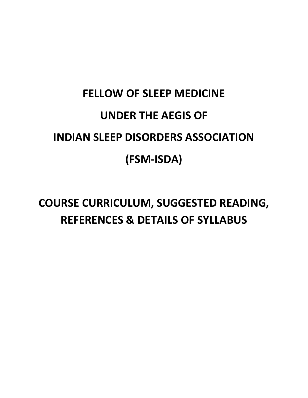# **FELLOW OF SLEEP MEDICINE UNDER THE AEGIS OF INDIAN SLEEP DISORDERS ASSOCIATION (FSM-ISDA)**

**COURSE CURRICULUM, SUGGESTED READING, REFERENCES & DETAILS OF SYLLABUS**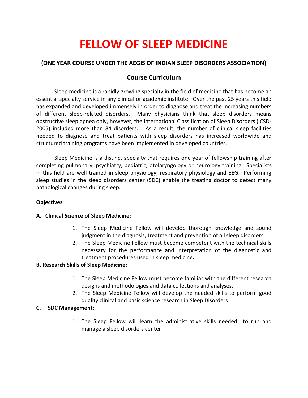# **FELLOW OF SLEEP MEDICINE**

#### **(ONE YEAR COURSE UNDER THE AEGIS OF INDIAN SLEEP DISORDERS ASSOCIATION)**

### **Course Curriculum**

Sleep medicine is a rapidly growing specialty in the field of medicine that has become an essential specialty service in any clinical or academic institute. Over the past 25 years this field has expanded and developed immensely in order to diagnose and treat the increasing numbers of different sleep-related disorders. Many physicians think that sleep disorders means obstructive sleep apnea only, however, the International Classification of Sleep Disorders (ICSD-2005) included more than 84 disorders. As a result, the number of clinical sleep facilities needed to diagnose and treat patients with sleep disorders has increased worldwide and structured training programs have been implemented in developed countries.

Sleep Medicine is a distinct specialty that requires one year of fellowship training after completing pulmonary, psychiatry, pediatric, otolaryngology or neurology training. Specialists in this field are well trained in sleep physiology, respiratory physiology and EEG. Performing sleep studies in the sleep disorders center (SDC) enable the treating doctor to detect many pathological changes during sleep.

#### **Objectives**

#### **A. Clinical Science of Sleep Medicine:**

- 1. The Sleep Medicine Fellow will develop thorough knowledge and sound judgment in the diagnosis, treatment and prevention of all sleep disorders
- 2. The Sleep Medicine Fellow must become competent with the technical skills necessary for the performance and interpretation of the diagnostic and treatment procedures used in sleep medicine**.**

#### **B. Research Skills of Sleep Medicine:**

- 1. The Sleep Medicine Fellow must become familiar with the different research designs and methodologies and data collections and analyses.
- 2. The Sleep Medicine Fellow will develop the needed skills to perform good quality clinical and basic science research in Sleep Disorders

#### **C. SDC Management:**

1. The Sleep Fellow will learn the administrative skills needed to run and manage a sleep disorders center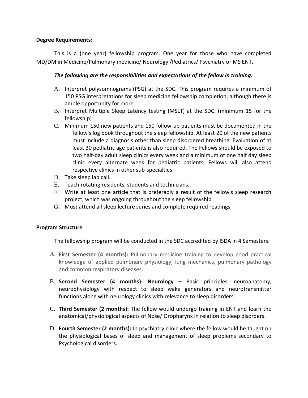#### **Degree Requirements:**

This is a (one year) fellowship program. One year for those who have completed MD/DM in Medicine/Pulmonary medicine/ Neurology /Pediatrics/ Psychiatry or MS ENT.

#### *The following are the responsibilities and expectations of the fellow in training:*

- A. Interpret polysomnograms (PSG) at the SDC. This program requires a minimum of 150 PSG interpretations for sleep medicine fellowship completion, although there is ample opportunity for more.
- B. Interpret Multiple Sleep Latency testing (MSLT) at the SDC. (minimum 15 for the fellowship)
- C. Minimum 150 new patients and 150 follow-up patients must be documented in the fellow's log book throughout the sleep fellowship. At least 20 of the new patients must include a diagnosis other than sleep disordered breathing. Evaluation of at least 30 pediatric age patients is also required. The Fellows should be exposed to two half-day adult sleep clinics every week and a minimum of one half day sleep clinic every alternate week for pediatric patients. Fellows will also attend respective clinics in other sub-specialties.
- D. Take sleep lab call.
- E. Teach rotating residents, students and technicians.
- F. Write at least one article that is preferably a result of the fellow's sleep research project, which was ongoing throughout the sleep fellowship
- G. Must attend all sleep lecture series and complete required readings

#### **Program Structure**

The fellowship program will be conducted in the SDC accredited by ISDA in 4 Semesters.

- **A. First Semester (4 months):** Pulmonary medicine training to develop good practical knowledge of applied pulmonary physiology, lung mechanics, pulmonary pathology and common respiratory diseases.
- B. **Second Semester (4 months): Neurology –** Basic principles, neuroanatomy, neurophysiology with respect to sleep wake generators and neurotransmitter functions along with neurology clinics with relevance to sleep disorders.
- C. **Third Semester (2 months):** The fellow would undergo training in ENT and learn the anatomical/physiological aspects of Nose/ Oropharynx in relation to sleep disorders.
- D. **Fourth Semester (2 months):** In psychiatry clinic where the fellow would he taught on the physiological bases of sleep and management of sleep problems secondary to Psychological disorders.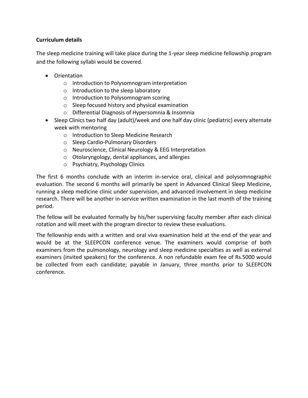#### **Curriculum details**

The sleep medicine training will take place during the 1-year sleep medicine fellowship program and the following syllabi would be covered.

- Orientation
	- o Introduction to Polysomnogram interpretation
	- o Introduction to the sleep laboratory
	- o Introduction to Polysomnogram scoring
	- o Sleep focused history and physical examination
	- o Differential Diagnosis of Hypersomnia & Insomnia
- Sleep Clinics two half day (adult)/week and one half day clinic (pediatric) every alternate week with mentoring
	- o Introduction to Sleep Medicine Research
	- o Sleep Cardio-Pulmonary Disorders
	- o Neuroscience, Clinical Neurology & EEG Interpretation
	- o Otolaryngology, dental appliances, and allergies
	- o Psychiatry, Psychology Clinics

The first 6 months conclude with an interim in-service oral, clinical and polysomnographic evaluation. The second 6 months will primarily be spent in Advanced Clinical Sleep Medicine, running a sleep medicine clinic under supervision, and advanced involvement in sleep medicine research. There will be another in-service written examination in the last month of the training period.

The fellow will be evaluated formally by his/her supervising faculty member after each clinical rotation and will meet with the program director to review these evaluations.

The fellowship ends with a written and oral viva examination held at the end of the year and would be at the SLEEPCON conference venue. The examiners would comprise of both examiners from the pulmonology, neurology and sleep medicine specialties as well as external examiners (invited speakers) for the conference. A non refundable exam fee of Rs.5000 would be collected from each candidate; payable in January, three months prior to SLEEPCON conference.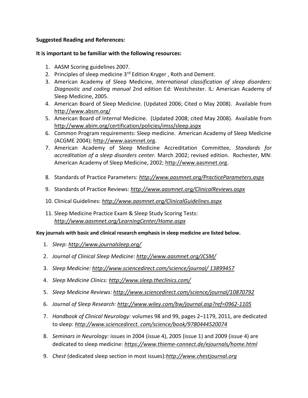#### **Suggested Reading and References:**

#### **It is important to be familiar with the following resources:**

- 1. AASM Scoring guidelines 2007.
- 2. Principles of sleep medicine 3<sup>rd</sup> Edition Kryger, Roth and Dement.
- 3. American Academy of Sleep Medicine, *International classification of sleep disorders: Diagnostic and coding manual* 2nd edition Ed: Westchester. IL: American Academy of Sleep Medicine, 2005.
- 4. American Board of Sleep Medicine. (Updated 2006; Cited o May 2008). Available from <http://www.absm.org/>
- 5. American Board of Internal Medicine. (Updated 2008; cited May 2008). Available from <http://www.abim.org/certification/policies/imss/sleep.aspx>
- 6. Common Program requirements: Sleep medicine. American Academy of Sleep Medicine (ACGME 2004); [http://www.aasmnet.org.](http://www.aasmnet.org/)
- 7. American Academy of Sleep Medicine Accreditation Committee, *Standards for accreditation of a sleep disorders center.* March 2002; revised edition. Rochester, MN: American Academy of Sleep Medicine, 2002; [http://www.aasmnet.org.](http://www.aasmnet.org/)
- 8. Standards of Practice Parameters: *<http://www.aasmnet.org/PracticeParameters.aspx>*
- 9. Standards of Practice Reviews: *<http://www.aasmnet.org/ClinicalReviews.aspx>*
- 10. Clinical Guidelines: *<http://www.aasmnet.org/ClinicalGuidelines.aspx>*
- 11. Sleep Medicine Practice Exam & Sleep Study Scoring Tests: *<http://www.aasmnet.org/LearningCenter/Home.aspx>*

**Key journals with basic and clinical research emphasis in sleep medicine are listed below.** 

- 1. *Sleep: <http://www.journalsleep.org/>*
- 2. *Journal of Clinical Sleep Medicine: <http://www.aasmnet.org/JCSM/>*
- 3. *Sleep Medicine: [http://www.sciencedirect.com/science/journal/ 13899457](http://www.sciencedirect.com/science/journal/13899457)*
- 4. *Sleep Medicine Clinics: <http://www.sleep.theclinics.com/>*
- 5. *Sleep Medicine Reviews: <http://www.sciencedirect.com/science/journal/10870792>*
- 6. *Journal of Sleep Research: <http://www.wiley.com/bw/journal.asp?ref=0962-1105>*
- 7. *Handbook of Clinical Neurology:* volumes 98 and 99, pages 2–1179, 2011, are dedicated to sleep: *[http://www.sciencedirect. com/science/book/9780444520074](http://www.sciencedirect.com/science/book/9780444520074)*
- 8. *Seminars in Neurology:* issues in 2004 (issue 4), 2005 (issue 1) and 2009 (issue 4) are dedicated to sleep medicine: *<https://www.thieme-connect.de/ejournals/home.html>*
- 9. *Chest* (dedicated sleep section in most issues):*[http://www.chestjournal.org](http://www.chestjournal.org/)*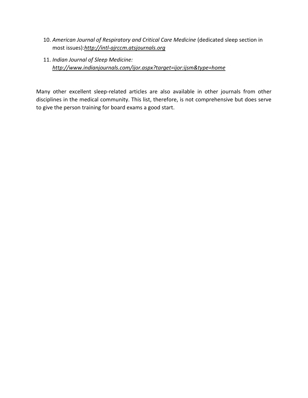- 10. *American Journal of Respiratory and Critical Care Medicine* (dedicated sleep section in most issues):*[http://intl-ajrccm.atsjournals.org](http://intl-ajrccm.atsjournals.org/)*
- 11. *Indian Journal of Sleep Medicine: <http://www.indianjournals.com/ijor.aspx?target=ijor:ijsm&type=home>*

Many other excellent sleep-related articles are also available in other journals from other disciplines in the medical community. This list, therefore, is not comprehensive but does serve to give the person training for board exams a good start.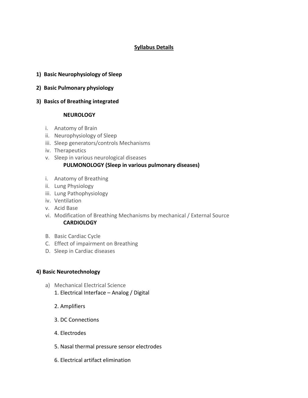#### **Syllabus Details**

- **1) Basic Neurophysiology of Sleep**
- **2) Basic Pulmonary physiology**
- **3) Basics of Breathing integrated**

#### **NEUROLOGY**

- i. Anatomy of Brain
- ii. Neurophysiology of Sleep
- iii. Sleep generators/controls Mechanisms
- iv. Therapeutics
- v. Sleep in various neurological diseases

#### **PULMONOLOGY (Sleep in various pulmonary diseases)**

- i. Anatomy of Breathing
- ii. Lung Physiology
- iii. Lung Pathophysiology
- iv. Ventilation
- v. Acid Base
- vi. Modification of Breathing Mechanisms by mechanical / External Source **CARDIOLOGY**
- B. Basic Cardiac Cycle
- C. Effect of impairment on Breathing
- D. Sleep in Cardiac diseases

#### **4) Basic Neurotechnology**

- a) Mechanical Electrical Science 1. Electrical Interface – Analog / Digital
	- 2. Amplifiers
	- 3. DC Connections
	- 4. Electrodes
	- 5. Nasal thermal pressure sensor electrodes
	- 6. Electrical artifact elimination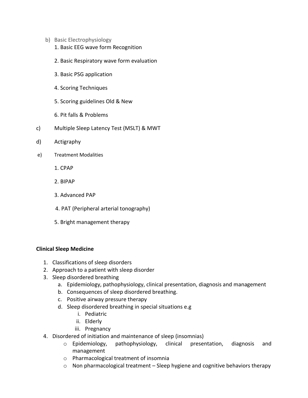- b) Basic Electrophysiology
	- 1. Basic EEG wave form Recognition
	- 2. Basic Respiratory wave form evaluation
	- 3. Basic PSG application
	- 4. Scoring Techniques
	- 5. Scoring guidelines Old & New
	- 6. Pit falls & Problems
- c) Multiple Sleep Latency Test (MSLT) & MWT
- d) Actigraphy
- e) Treatment Modalities
	- 1. CPAP
	- 2. BIPAP
	- 3. Advanced PAP
	- 4. PAT (Peripheral arterial tonography)
	- 5. Bright management therapy

#### **Clinical Sleep Medicine**

- 1. Classifications of sleep disorders
- 2. Approach to a patient with sleep disorder
- 3. Sleep disordered breathing
	- a. Epidemiology, pathophysiology, clinical presentation, diagnosis and management
	- b. Consequences of sleep disordered breathing.
	- c. Positive airway pressure therapy
	- d. Sleep disordered breathing in special situations e.g
		- i. Pediatric
		- ii. Elderly
		- iii. Pregnancy
- 4. Disordered of initiation and maintenance of sleep (insomnias)
	- o Epidemiology, pathophysiology, clinical presentation, diagnosis and management
	- o Pharmacological treatment of insomnia
	- o Non pharmacological treatment Sleep hygiene and cognitive behaviors therapy